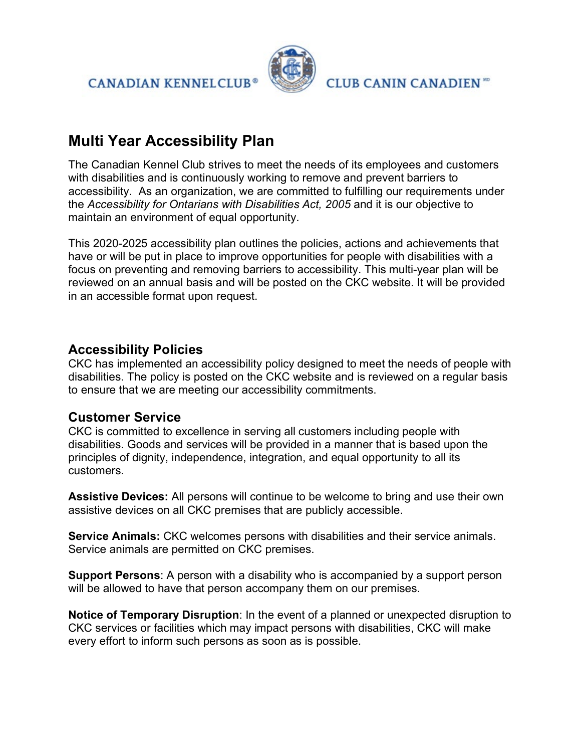**CANADIAN KENNELCLUB®** 



**CLUB CANIN CANADIEN ND** 

# **Multi Year Accessibility Plan**

The Canadian Kennel Club strives to meet the needs of its employees and customers with disabilities and is continuously working to remove and prevent barriers to accessibility. As an organization, we are committed to fulfilling our requirements under the *Accessibility for Ontarians with Disabilities Act, 2005* and it is our objective to maintain an environment of equal opportunity.

This 2020-2025 accessibility plan outlines the policies, actions and achievements that have or will be put in place to improve opportunities for people with disabilities with a focus on preventing and removing barriers to accessibility. This multi-year plan will be reviewed on an annual basis and will be posted on the CKC website. It will be provided in an accessible format upon request.

# **Accessibility Policies**

CKC has implemented an accessibility policy designed to meet the needs of people with disabilities. The policy is posted on the CKC website and is reviewed on a regular basis to ensure that we are meeting our accessibility commitments.

## **Customer Service**

CKC is committed to excellence in serving all customers including people with disabilities. Goods and services will be provided in a manner that is based upon the principles of dignity, independence, integration, and equal opportunity to all its customers.

**Assistive Devices:** All persons will continue to be welcome to bring and use their own assistive devices on all CKC premises that are publicly accessible.

**Service Animals:** CKC welcomes persons with disabilities and their service animals. Service animals are permitted on CKC premises.

**Support Persons**: A person with a disability who is accompanied by a support person will be allowed to have that person accompany them on our premises.

**Notice of Temporary Disruption**: In the event of a planned or unexpected disruption to CKC services or facilities which may impact persons with disabilities, CKC will make every effort to inform such persons as soon as is possible.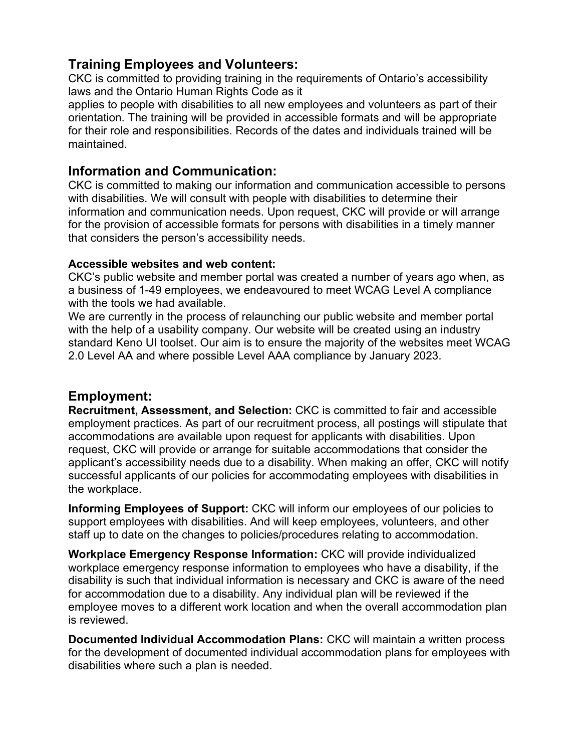## **Training Employees and Volunteers:**

CKC is committed to providing training in the requirements of Ontario's accessibility laws and the Ontario Human Rights Code as it

applies to people with disabilities to all new employees and volunteers as part of their orientation. The training will be provided in accessible formats and will be appropriate for their role and responsibilities. Records of the dates and individuals trained will be maintained.

### **Information and Communication:**

CKC is committed to making our information and communication accessible to persons with disabilities. We will consult with people with disabilities to determine their information and communication needs. Upon request, CKC will provide or will arrange for the provision of accessible formats for persons with disabilities in a timely manner that considers the person's accessibility needs.

#### **Accessible websites and web content:**

CKC's public website and member portal was created a number of years ago when, as a business of 1-49 employees, we endeavoured to meet WCAG Level A compliance with the tools we had available.

We are currently in the process of relaunching our public website and member portal with the help of a usability company. Our website will be created using an industry standard Keno UI toolset. Our aim is to ensure the majority of the websites meet WCAG 2.0 Level AA and where possible Level AAA compliance by January 2023.

### **Employment:**

**Recruitment, Assessment, and Selection:** CKC is committed to fair and accessible employment practices. As part of our recruitment process, all postings will stipulate that accommodations are available upon request for applicants with disabilities. Upon request, CKC will provide or arrange for suitable accommodations that consider the applicant's accessibility needs due to a disability. When making an offer, CKC will notify successful applicants of our policies for accommodating employees with disabilities in the workplace.

**Informing Employees of Support:** CKC will inform our employees of our policies to support employees with disabilities. And will keep employees, volunteers, and other staff up to date on the changes to policies/procedures relating to accommodation.

**Workplace Emergency Response Information:** CKC will provide individualized workplace emergency response information to employees who have a disability, if the disability is such that individual information is necessary and CKC is aware of the need for accommodation due to a disability. Any individual plan will be reviewed if the employee moves to a different work location and when the overall accommodation plan is reviewed.

**Documented Individual Accommodation Plans:** CKC will maintain a written process for the development of documented individual accommodation plans for employees with disabilities where such a plan is needed.